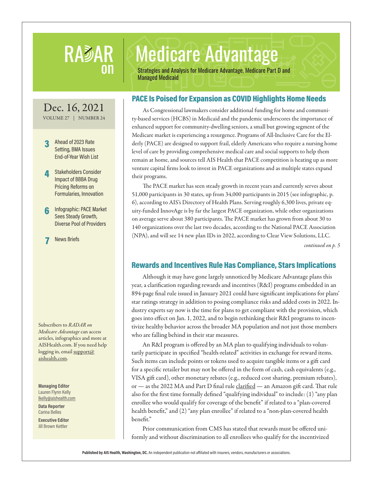## RADAR Medicare Advantage<br>On Strategies and Analysis for Medicare Advantage, Medicare Part D and Managed Medicaid

## PACE Is Poised for Expansion as COVID Highlights Home Needs

As Congressional lawmakers consider additional funding for home and community-based services (HCBS) in Medicaid and the pandemic underscores the importance of enhanced support for community-dwelling seniors, a small but growing segment of the Medicare market is experiencing a resurgence. Programs of All-Inclusive Care for the Elderly (PACE) are designed to support frail, elderly Americans who require a nursing home level of care by providing comprehensive medical care and social supports to help them remain at home, and sources tell AIS Health that PACE competition is heating up as more venture capital firms look to invest in PACE organizations and as multiple states expand their programs.

The PACE market has seen steady growth in recent years and currently serves about 51,000 participants in 30 states, up from 34,000 participants in 2015 (see infographic, p. 6), according to AIS's Directory of Health Plans. Serving roughly 6,300 lives, private equity-funded InnovAge is by far the largest PACE organization, while other organizations on average serve about 380 participants. The PACE market has grown from about 30 to 140 organizations over the last two decades, according to the National PACE Association (NPA), and will see 14 new plan IDs in 2022, according to Clear View Solutions, LLC.

*continued on p. 5*

## Rewards and Incentives Rule Has Compliance, Stars Implications

Although it may have gone largely unnoticed by Medicare Advantage plans this year, a clarification regarding rewards and incentives (R&I) programs embedded in an 894-page final rule issued in January 2021 could have significant implications for plans' star ratings strategy in addition to posing compliance risks and added costs in 2022. Industry experts say now is the time for plans to get compliant with the provision, which goes into effect on Jan. 1, 2022, and to begin rethinking their R&I programs to incentivize healthy behavior across the broader MA population and not just those members who are falling behind in their star measures.

An R&I program is offered by an MA plan to qualifying individuals to voluntarily participate in specified "health-related" activities in exchange for reward items. Such items can include points or tokens used to acquire tangible items or a gift card for a specific retailer but may not be offered in the form of cash, cash equivalents (e.g., VISA gift card), other monetary rebates (e.g., reduced cost sharing, premium rebates), or — as the 2022 MA and Part D final rule [clarified](https://www.federalregister.gov/documents/2021/01/19/2021-00538/medicare-and-medicaid-programs-contract-year-2022-policy-and-technical-changes-to-the-medicare) — an Amazon gift card. That rule also for the first time formally defined "qualifying individual" to include: (1) "any plan enrollee who would qualify for coverage of the benefit" if related to a "plan-covered health benefit," and (2) "any plan enrollee" if related to a "non-plan-covered health benefit."

Prior communication from CMS has stated that rewards must be offered uniformly and without discrimination to all enrollees who qualify for the incentivized

**Published by AIS Health, Washington, DC.** An independent publication not affiliated with insurers, vendors, manufacturers or associations.

Dec. 16, 2021 VOLUME 27 | NUMBER 24

#### 3 Ahead of 2023 Rate Setting, BMA Issues End-of-Year Wish List

**All** Stakeholders Consider Impact of BBBA Drug Pricing Reforms on Formularies, Innovation

6 Infographic: PACE Market Sees Steady Growth, Diverse Pool of Providers

**News Briefs** 

Subscribers to *RADAR on Medicare Advantage* can access articles, infographics and more at AISHealth.com. If you need help logging in, email support@ aishealth.com.

**Managing Editor** Lauren Flynn Kelly lkelly@aishealth.com

**Data Reporter** Carina Belles

**Executive Editor** Jill Brown Kettler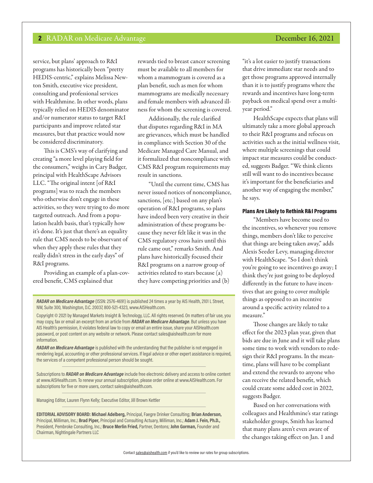service, but plans' approach to R&I programs has historically been "pretty HEDIS-centric," explains Melissa Newton Smith, executive vice president, consulting and professional services with Healthmine. In other words, plans typically relied on HEDIS denominator and/or numerator status to target R&I participants and improve related star measures, but that practice would now be considered discriminatory.

This is CMS's way of clarifying and creating "a more level playing field for the consumers," weighs in Cary Badger, principal with HealthScape Advisors LLC. "The original intent [of R&I programs] was to reach the members who otherwise don't engage in these activities, so they were trying to do more targeted outreach. And from a population health basis, that's typically how it's done. It's just that there's an equality rule that CMS needs to be observant of when they apply these rules that they really didn't stress in the early days" of R&I programs.

Providing an example of a plan-covered benefit, CMS explained that

rewards tied to breast cancer screening must be available to all members for whom a mammogram is covered as a plan benefit, such as men for whom mammograms are medically necessary and female members with advanced illness for whom the screening is covered.

Additionally, the rule clarified that disputes regarding R&I in MA are grievances, which must be handled in compliance with Section 30 of the Medicare Managed Care Manual, and it formalized that noncompliance with CMS R&I program requirements may result in sanctions.

"Until the current time, CMS has never issued notices of noncompliance, sanctions, [etc.] based on any plan's operation of R&I programs, so plans have indeed been very creative in their administration of these programs because they never felt like it was in the CMS regulatory cross hairs until this rule came out," remarks Smith. And plans have historically focused their R&I programs on a narrow group of activities related to stars because (a) they have competing priorities and (b)

*RADAR on Medicare Advantage* (ISSN: 2576-4691) is published 24 times a year by AIS Health, 2101 L Street, NW, Suite 300, Washington, D.C. 20037, 800-521-4323, www.AISHealth.com.

Copyright © 2021 by Managed Markets Insight & Technology, LLC. All rights reserved. On matters of fair use, you may copy, fax or email an excerpt from an article from *RADAR on Medicare Advantage*. But unless you have AIS Health's permission, it violates federal law to copy or email an entire issue, share your AISHealth.com password, or post content on any website or network. Please contact sales@aishealth.com for more information.

*RADAR on Medicare Advantage* is published with the understanding that the publisher is not engaged in rendering legal, accounting or other professional services. If legal advice or other expert assistance is required, the services of a competent professional person should be sought.

Subscriptions to *RADAR on Medicare Advantage* include free electronic delivery and access to online content at www.AISHealth.com. To renew your annual subscription, please order online at www.AISHealth.com. For subscriptions for five or more users, contact sales@aishealth.com.

Managing Editor, Lauren Flynn Kelly; Executive Editor, Jill Brown Kettler

**EDITORIAL ADVISORY BOARD: Michael Adelberg,** Principal, Faegre Drinker Consulting; **Brian Anderson,**  Principal, Milliman, Inc.; **Brad Piper,** Principal and Consulting Actuary, Milliman, Inc.; **Adam J. Fein, Ph.D.,**  President, Pembroke Consulting, Inc.; **Bruce Merlin Fried,** Partner, Dentons; **John Gorman,** Founder and Chairman, Nightingale Partners LLC

"it's a lot easier to justify transactions that drive immediate star needs and to get those programs approved internally than it is to justify programs where the rewards and incentives have long-term payback on medical spend over a multiyear period."

HealthScape expects that plans will ultimately take a more global approach to their R&I programs and refocus on activities such as the initial wellness visit, where multiple screenings that could impact star measures could be conducted, suggests Badger. "We think clients still will want to do incentives because it's important for the beneficiaries and another way of engaging the member," he says.

#### Plans Are Likely to Rethink R&I Programs

"Members have become used to the incentives, so whenever you remove things, members don't like to perceive that things are being taken away," adds Alexis Seeder Levy, managing director with HealthScape. "So I don't think you're going to see incentives go away; I think they're just going to be deployed differently in the future to have incentives that are going to cover multiple things as opposed to an incentive around a specific activity related to a measure."

Those changes are likely to take effect for the 2023 plan year, given that bids are due in June and it will take plans some time to work with vendors to redesign their R&I programs. In the meantime, plans will have to be compliant and extend the rewards to anyone who can receive the related benefit, which could create some added cost in 2022, suggests Badger.

Based on her conversations with colleagues and Healthmine's star ratings stakeholder groups, Smith has learned that many plans aren't even aware of the changes taking effect on Jan. 1 and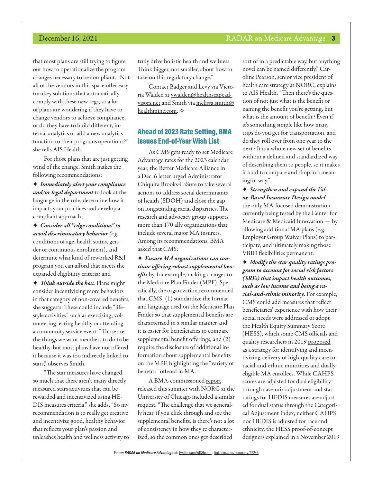that most plans are still trying to figure out how to operationalize the program changes necessary to be compliant. "Not all of the vendors in this space offer easy turnkey solutions that automatically comply with these new regs, so a lot of plans are wondering if they have to change vendors to achieve compliance, or do they have to build different, internal analytics or add a new analytics function to their programs operations?" she tells AIS Health.

For those plans that are just getting wind of the change, Smith makes the following recommendations:

F *Immediately alert your compliance and/or legal department* to look at the language in the rule, determine how it impacts your practices and develop a compliant approach;

F *Consider all "edge conditions" to avoid discriminatory behavior (e.g.,* conditions of age, health status, gender or continuous enrollment), and determine what kind of reworked R&I program you can afford that meets the expanded eligibility criteria; and

F *Think outside the box.* Plans might consider incentivizing more behaviors in that category of non-covered benefits, she suggests. These could include "lifestyle activities" such as exercising, volunteering, eating healthy or attending a community service event. "Those are the things we want members to do to be healthy, but most plans have not offered it because it was too indirectly linked to stars," observes Smith.

"The star measures have changed so much that there aren't many directly measured stars activities that can be rewarded and incentivized using HE-DIS measures criteria," she adds. "So my recommendation is to really get creative and incentivize good, healthy behavior that reflects your plan's passion and unleashes health and wellness activity to

truly drive holistic health and wellness. Think bigger, not smaller, about how to take on this regulatory change."

Contact Badger and Levy via Victoria Walden at [vwalden@healthscapead](mailto:vwalden@healthscapeadvisors.net)[visors.net](mailto:vwalden@healthscapeadvisors.net) and Smith via [melissa.smith@](mailto:melissa.smith%40healthmine.com?subject=) [healthmine.com](mailto:melissa.smith%40healthmine.com?subject=).  $\diamond$ 

## Ahead of 2023 Rate Setting, BMA Issues End-of-Year Wish List

As CMS gets ready to set Medicare Advantage rates for the 2023 calendar year, the Better Medicare Alliance in a [Dec. 6 letter](https://bettermedicarealliance.org/wp-content/uploads/2021/12/BMA-Pre-Rate-Notice-Letter-CY2023-Final-12.7.20211.pdf) urged Administrator Chiquita Brooks-LaSure to take several actions to address social determinants of health (SDOH) and close the gap on longstanding racial disparities. The research and advocacy group supports more than 170 ally organizations that include several major MA insurers. Among its recommendations, BMA asked that CMS:

F *Ensure MA organizations can continue offering robust supplemental benefits* by, for example, making changes to the Medicare Plan Finder (MPF). Specifically, the organization recommended that CMS: (1) standardize the format and language used on the Medicare Plan Finder so that supplemental benefits are characterized in a similar manner and it is easier for beneficiaries to compare supplemental benefit offerings, and (2) require the disclosure of additional information about supplemental benefits on the MPF, highlighting the "variety of benefits" offered in MA.

A BMA-commissioned [report](https://bettermedicarealliance.org/wp-content/uploads/2021/08/Innovative-Approaches-to-Addressing-SDOH-for-MA-Beneficiaries-FINAL.pdf) released this summer with NORC at the University of Chicago included a similar request. "The challenge that we generally hear, if you click through and see the supplemental benefits, is there's not a lot of consistency in how they're characterized, so the common ones get described

sort of in a predictable way, but anything novel can be named differently," Caroline Pearson, senior vice president of health care strategy at NORC, explains to AIS Health. "Then there's the question of not just what is the benefit or naming the benefit you're getting, but what is the amount of benefit? Even if it's something simple like how many trips do you get for transportation, and do they roll over from one year to the next? It is a whole new set of benefits without a defined and standardized way of describing them to people, so it makes it hard to compare and shop in a meaningful way."

F *Strengthen and expand the Value-Based Insurance Design model* the only MA-focused demonstration currently being tested by the Center for Medicare & Medicaid Innovation — by allowing additional MA plans (e.g., Employer Group Waiver Plans) to participate, and ultimately making those VBID flexibilities permanent.

F *Modify the star quality ratings program to account for social risk factors (SRFs) that impact health outcomes, such as low income and being a racial-and-ethnic minority.* For example, CMS could add measures that reflect beneficiaries' experience with how their social needs were addressed or adopt the Health Equity Summary Score (HESS), which some CMS officials and quality researchers in 2019 [proposed](https://link.springer.com/article/10.1007%2Fs11606-019-05473-x) as a strategy for identifying and incentivizing delivery of high-quality care to racial-and-ethnic minorities and dually eligible MA enrollees. While CAHPS scores are adjusted for dual eligibility through case-mix adjustment and star ratings for HEDIS measures are adjusted for dual status through the Categorical Adjustment Index, neither CAHPS nor HEDIS is adjusted for race and ethnicity, the HESS proof-of-concept designers explained in a November 2019

#### **December 16, 2021 RADAR** on Medicare Advantage 3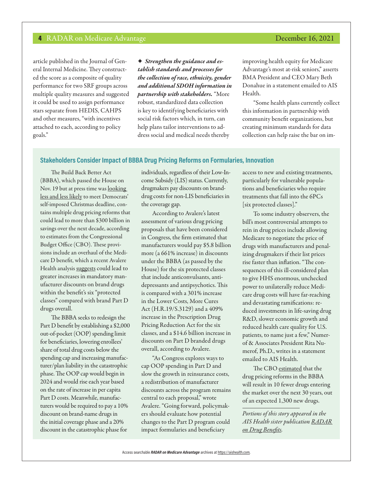article published in the Journal of General Internal Medicine. They constructed the score as a composite of quality performance for two SRF groups across multiple quality measures and suggested it could be used to assign performance stars separate from HEDIS, CAHPS and other measures, "with incentives attached to each, according to policy goals."

F *Strengthen the guidance and establish standards and processes for the collection of race, ethnicity, gender and additional SDOH information in partnership with stakeholders.* "More robust, standardized data collection is key to identifying beneficiaries with social risk factors which, in turn, can help plans tailor interventions to address social and medical needs thereby

improving health equity for Medicare Advantage's most at-risk seniors," asserts BMA President and CEO Mary Beth Donahue in a statement emailed to AIS Health.

"Some health plans currently collect this information in partnership with community benefit organizations, but creating minimum standards for data collection can help raise the bar on im-

#### **Stakeholders Consider Impact of BBBA Drug Pricing Reforms on Formularies, Innovation**

The Build Back Better Act (BBBA), which passed the House on Nov. 19 but at press time was looking [less and less likely](https://www.nytimes.com/2021/12/15/us/politics/democrats-social-policy-bill-2022.html?smid=url-share) to meet Democrats' self-imposed Christmas deadline, contains multiple drug pricing reforms that could lead to more than \$300 billion in savings over the next decade, according to estimates from the Congressional Budget Office (CBO). These provisions include an overhaul of the Medicare D benefit, which a recent Avalere Health analysis [suggests](https://avalere.com/insights/part-d-redesign-impact-on-manufacturer-discounts-in-protected-classes) could lead to greater increases in mandatory manufacturer discounts on brand drugs within the benefit's six "protected classes" compared with brand Part D drugs overall.

The BBBA seeks to redesign the Part D benefit by establishing a \$2,000 out-of-pocket (OOP) spending limit for beneficiaries, lowering enrollees' share of total drug costs below the spending cap and increasing manufacturer/plan liability in the catastrophic phase. The OOP cap would begin in 2024 and would rise each year based on the rate of increase in per capita Part D costs. Meanwhile, manufacturers would be required to pay a 10% discount on brand-name drugs in the initial coverage phase and a 20% discount in the catastrophic phase for

individuals, regardless of their Low-Income Subsidy (LIS) status. Currently, drugmakers pay discounts on branddrug costs for non-LIS beneficiaries in the coverage gap.

According to Avalere's latest assessment of various drug pricing proposals that have been considered in Congress, the firm estimated that manufacturers would pay \$5.8 billion more (a 661% increase) in discounts under the BBBA (as passed by the House) for the six protected classes that include anticonvulsants, antidepressants and antipsychotics. This is compared with a 301% increase in the Lower Costs, More Cures Act (H.R.19/S.3129) and a 409% increase in the Prescription Drug Pricing Reduction Act for the six classes, and a \$14.6 billion increase in discounts on Part D branded drugs overall, according to Avalere.

"As Congress explores ways to cap OOP spending in Part D and slow the growth in reinsurance costs, a redistribution of manufacturer discounts across the program remains central to each proposal," wrote Avalere. "Going forward, policymakers should evaluate how potential changes to the Part D program could impact formularies and beneficiary

access to new and existing treatments, particularly for vulnerable populations and beneficiaries who require treatments that fall into the 6PCs [six protected classes]."

To some industry observers, the bill's most controversial attempts to rein in drug prices include allowing Medicare to negotiate the price of drugs with manufacturers and penalizing drugmakers if their list prices rise faster than inflation. "The consequences of this ill-considered plan to give HHS enormous, unchecked power to unilaterally reduce Medicare drug costs will have far-reaching and devastating ramifications: reduced investments in life-saving drug R&D, slower economic growth and reduced health care quality for U.S. patients, to name just a few," Numerof & Associates President Rita Numerof, Ph.D., writes in a statement emailed to AIS Health.

The CBO [estimated](https://www.cbo.gov/publication/57627) that the drug pricing reforms in the BBBA will result in 10 fewer drugs entering the market over the next 30 years, out of an expected 1,300 new drugs.

*Portions of this story appeared in the AIS Health sister publication [RADAR](https://aishealth.mmitnetwork.com/blogs/radar-on-drug-benefits)  [on Drug Benefits](https://aishealth.mmitnetwork.com/blogs/radar-on-drug-benefits).*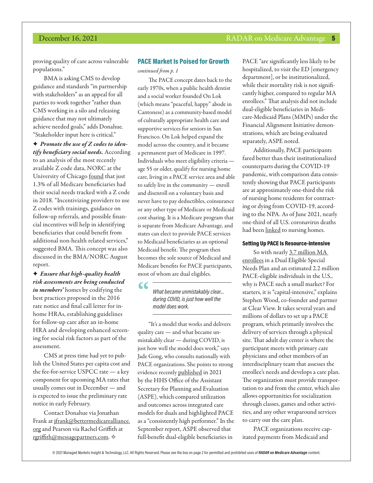proving quality of care across vulnerable populations."

BMA is asking CMS to develop guidance and standards "in partnership with stakeholders" as an appeal for all parties to work together "rather than CMS working in a silo and releasing guidance that may not ultimately achieve needed goals," adds Donahue. "Stakeholder input here is critical."

F *Promote the use of Z codes to identify beneficiary social needs.* According to an analysis of the most recently available Z code data, NORC at the University of Chicago [found](https://aishealth.mmitnetwork.com/blogs/radar-on-medicare-advantage/plans-seek-ways-to-promote-provider-use-of-z-codes?_pos=1&_sid=1f556a08f&_ss=r) that just 1.3% of all Medicare beneficiaries had their social needs tracked with a Z code in 2018. "Incentivizing providers to use Z codes with trainings, guidance on follow-up referrals, and possible financial incentives will help in identifying beneficiaries that could benefit from additional non-health related services," suggested BMA. This concept was also discussed in the BMA/NORC August report.

F *Ensure that high-quality health risk assessments are being conducted in members'* homes by codifying the best practices proposed in the 2016 rate notice and final call letter for inhome HRAs, establishing guidelines for follow-up care after an in-home HRA and developing enhanced screening for social risk factors as part of the assessment.

CMS at press time had yet to publish the United States per capita cost and the fee-for-service USPCC rate — a key component for upcoming MA rates that usually comes out in December — and is expected to issue the preliminary rate notice in early February.

Contact Donahue via Jonathan Frank at [jfrank@bettermedicarealliance.](mailto:jfrank@bettermedicarealliance.org) [org](mailto:jfrank@bettermedicarealliance.org) and Pearson via Rachel Griffith at [rgriffith@messagepartners.com](mailto:rgriffith@messagepartners.com).  $\diamond$ 

#### PACE Market Is Poised for Growth

*continued from p. 1*

The PACE concept dates back to the early 1970s, when a public health dentist and a social worker founded On Lok (which means "peaceful, happy" abode in Cantonese) as a community-based model of culturally appropriate health care and supportive services for seniors in San Francisco. On Lok helped expand the model across the country, and it became a permanent part of Medicare in 1997. Individuals who meet eligibility criteria age 55 or older, qualify for nursing home care, living in a PACE service area and able to safely live in the community — enroll and disenroll on a voluntary basis and never have to pay deductibles, coinsurance or any other type of Medicare or Medicaid cost sharing. It is a Medicare program that is separate from Medicare Advantage, and states can elect to provide PACE services to Medicaid beneficiaries as an optional Medicaid benefit. The program then becomes the sole source of Medicaid and Medicare benefits for PACE participants, most of whom are dual eligibles.

**"**

*What became unmistakably clear… during COVID, is just how well the model does work.*

"It's a model that works and delivers quality care — and what became unmistakably clear — during COVID, is just how well the model does work," says Jade Gong, who consults nationally with PACE organizations. She points to strong evidence recently [published](https://aspe.hhs.gov/sites/default/files/documents/9739cab65ad0221a66ebe45463d10d37/dual-eligible-beneficiaries-integrated-care.pdf) in 2021 by the HHS Office of the Assistant Secretary for Planning and Evaluation (ASPE), which compared utilization and outcomes across integrated care models for duals and highlighted PACE as a "consistently high performer." In the September report, ASPE observed that full-benefit dual-eligible beneficiaries in

PACE "are significantly less likely to be hospitalized, to visit the ED [emergency department], or be institutionalized, while their mortality risk is not significantly higher, compared to regular MA enrollees." That analysis did not include dual-eligible beneficiaries in Medicare-Medicaid Plans (MMPs) under the Financial Alignment Initiative demonstrations, which are being evaluated separately, ASPE noted.

Additionally, PACE participants fared better than their institutionalized counterparts during the COVID-19 pandemic, with comparison data consistently showing that PACE participants are at approximately one-third the risk of nursing home residents for contracting or dying from COVID-19, according to the NPA. As of June 2021, nearly one-third of all U.S. coronavirus deaths had been [linked](https://www.nytimes.com/interactive/2020/us/coronavirus-nursing-homes.html) to nursing homes.

#### Setting Up PACE Is Resource-Intensive

So with nearly [3.7 million MA](https://aishealth.mmitnetwork.com/blogs/radar-on-medicare-advantage/payers-are-increasingly-attracted-to-growing-snp-market)  [enrollees](https://aishealth.mmitnetwork.com/blogs/radar-on-medicare-advantage/payers-are-increasingly-attracted-to-growing-snp-market) in a Dual Eligible Special Needs Plan and an estimated 2.2 million PACE-eligible individuals in the U.S., why is PACE such a small market? For starters, it is "capital-intensive," explains Stephen Wood, co-founder and partner at Clear View. It takes several years and millions of dollars to set up a PACE program, which primarily involves the delivery of services through a physical site. That adult day center is where the participant meets with primary care physicians and other members of an interdisciplinary team that assesses the enrollee's needs and develops a care plan. The organization must provide transportation to and from the center, which also allows opportunities for socialization through classes, games and other activities, and any other wraparound services to carry out the care plan.

PACE organizations receive capitated payments from Medicaid and

© 2021 Managed Markets Insight & Technology, LLC. All Rights Reserved. Please see the box on page 2 for permitted and prohibited uses of *RADAR on Medicare Advantage* content.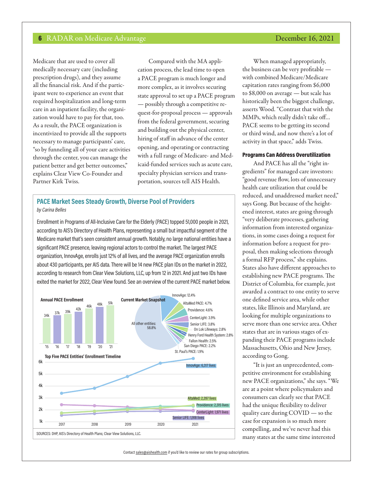Medicare that are used to cover all medically necessary care (including prescription drugs), and they assume all the financial risk. And if the participant were to experience an event that required hospitalization and long-term care in an inpatient facility, the organization would have to pay for that, too. As a result, the PACE organization is incentivized to provide all the supports necessary to manage participants' care, "so by funneling all of your care activities through the center, you can manage the patient better and get better outcomes," explains Clear View Co-Founder and Partner Kirk Twiss.

Compared with the MA application process, the lead time to open a PACE program is much longer and more complex, as it involves securing state approval to set up a PACE program — possibly through a competitive request-for-proposal process — approvals from the federal government, securing and building out the physical center, hiring of staff in advance of the center opening, and operating or contracting with a full range of Medicare- and Medicaid-funded services such as acute care, specialty physician services and transportation, sources tell AIS Health.

#### **PACE Market Sees Steady Growth, Diverse Pool of Providers** *by Carina Belles*

Enrollment in Programs of All-Inclusive Care for the Elderly (PACE) topped 51,000 people in 2021, according to AIS's Directory of Health Plans, representing a small but impactful segment of the Medicare market that's seen consistent annual growth. Notably, no large national entities have a significant PACE presence, leaving regional actors to control the market. The largest PACE organization, InnovAge, enrolls just 12% of all lives, and the average PACE organization enrolls about 430 participants, per AIS data. There will be 14 new PACE plan IDs on the market in 2022, according to research from Clear View Solutions, LLC, up from 12 in 2021. And just two IDs have exited the market for 2022, Clear View found. See an overview of the current PACE market below.



# When managed appropriately,

the business can be very profitable with combined Medicare/Medicare capitation rates ranging from \$6,000 to \$8,000 on average — but scale has historically been the biggest challenge, asserts Wood. "Contrast that with the MMPs, which really didn't take off… PACE seems to be getting its second or third wind, and now there's a lot of activity in that space," adds Twiss.

#### Programs Can Address Overutilization

And PACE has all the "right ingredients" for managed care investors: "good revenue flow, lots of unnecessary health care utilization that could be reduced, and unaddressed market need," says Gong. But because of the heightened interest, states are going through "very deliberate processes, gathering information from interested organizations, in some cases doing a request for information before a request for proposal, then making selections through a formal RFP process," she explains. States also have different approaches to establishing new PACE programs. The District of Columbia, for example, just awarded a contract to one entity to serve one defined service area, while other states, like Illinois and Maryland, are looking for multiple organizations to serve more than one service area. Other states that are in various stages of expanding their PACE programs include Massachusetts, Ohio and New Jersey, according to Gong.

"It is just an unprecedented, competitive environment for establishing new PACE organizations," she says. "We are at a point where policymakers and consumers can clearly see that PACE had the unique flexibility to deliver quality care during COVID — so the case for expansion is so much more compelling, and we've never had this many states at the same time interested

Contact sales@aishealth.com if you'd like to review our rates for group subscriptions.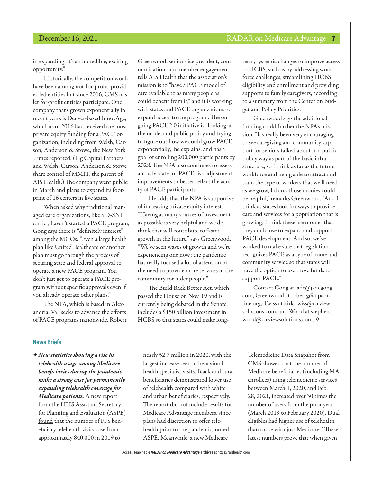in expanding. It's an incredible, exciting opportunity."

Historically, the competition would have been among not-for-profit, provider-led entities but since 2016, CMS has let for-profit entities participate. One company that's grown exponentially in recent years is Denver-based InnovAge, which as of 2016 had received the most private equity funding for a PACE organization, including from Welsh, Carson, Anderson & Stowe, the [New York](https://www.nytimes.com/2016/08/21/business/as-the-for-profit-world-moves-into-an-elder-care-program-some-worry.html)  [Times](https://www.nytimes.com/2016/08/21/business/as-the-for-profit-world-moves-into-an-elder-care-program-some-worry.html) reported. (Hg Capital Partners and Welsh, Carson, Anderson & Stowe share control of MMIT, the parent of AIS Health.) The company [went public](https://finance.yahoo.com/video/innovage-ceo-ipo-debut-excited-183330347.html) in March and plans to expand its footprint of 16 centers in five states.

When asked why traditional managed care organizations, like a D-SNP carrier, haven't started a PACE program, Gong says there is "definitely interest" among the MCOs. "Even a large health plan like UnitedHealthcare or another plan must go through the process of securing state and federal approval to operate a new PACE program. You don't just get to operate a PACE program without specific approvals even if you already operate other plans."

The NPA, which is based in Alexandria, Va., seeks to advance the efforts of PACE programs nationwide. Robert

Greenwood, senior vice president, communications and member engagement, tells AIS Health that the association's mission is to "have a PACE model of care available to as many people as could benefit from it," and it is working with states and PACE organizations to expand access to the program. The ongoing PACE 2.0 initiative is "looking at the model and public policy and trying to figure out how we could grow PACE exponentially," he explains, and has a goal of enrolling 200,000 participants by 2028. The NPA also continues to assess and advocate for PACE risk adjustment improvements to better reflect the acuity of PACE participants.

He adds that the NPA is supportive of increasing private equity interest. "Having as many sources of investment as possible is very helpful and we do think that will contribute to faster growth in the future," says Greenwood. "We've seen waves of growth and we're experiencing one now; the pandemic has really focused a lot of attention on the need to provide more services in the community for older people."

The Build Back Better Act, which passed the House on Nov. 19 and is currently being [debated in the Senate,](https://www.nytimes.com/2021/12/15/us/politics/democrats-social-policy-bill-2022.html?smid=url-share) includes a \$150 billion investment in HCBS so that states could make longterm, systemic changes to improve access to HCBS, such as by addressing workforce challenges, streamlining HCBS eligibility and enrollment and providing supports to family caregivers, according to a [summary](https://www.cbpp.org/research/health/new-house-build-back-better-legislation-would-make-long-lasting-medicaid) from the Center on Budget and Policy Priorities.

Greenwood says the additional funding could further the NPA's mission. "It's really been very encouraging to see caregiving and community support for seniors talked about in a public policy way as part of the basic infrastructure, so I think as far as the future workforce and being able to attract and train the type of workers that we'll need as we grow, I think those monies could be helpful," remarks Greenwood. "And I think as states look for ways to provide care and services for a population that is growing, I think these are monies that they could use to expand and support PACE development. And so, we've worked to make sure that legislation recognizes PACE as a type of home and community service so that states will have the option to use those funds to support PACE."

Contact Gong at [jade@jadegong.](mailto:jade@jadegong.com) [com](mailto:jade@jadegong.com), Greenwood at [robertg@npaon](mailto:robertg@npaonline.org)[line.org](mailto:robertg@npaonline.org), Twiss at [kirk.twiss@clrview](mailto:kirk.twiss@clrviewsolutions.com)[solutions.com](mailto:kirk.twiss@clrviewsolutions.com), and Wood at [stephen.](mailto:stephen.wood@clrviewsolutions.com) [wood@clrviewsolutions.com.](mailto:stephen.wood@clrviewsolutions.com)  $\diamond$ 

#### **News Briefs**

F*New statistics showing a rise in telehealth usage among Medicare beneficiaries during the pandemic make a strong case for permanently expanding telehealth coverage for Medicare patients.* A new report from the HHS Assistant Secretary for Planning and Evaluation (ASPE) [found](https://aspe.hhs.gov/sites/default/files/documents/a1d5d810fe3433e18b192be42dbf2351/medicare-telehealth-report.pdf) that the number of FFS beneficiary telehealth visits rose from approximately 840,000 in 2019 to

nearly 52.7 million in 2020, with the largest increase seen in behavioral health specialist visits. Black and rural beneficiaries demonstrated lower use of telehealth compared with white and urban beneficiaries, respectively. The report did not include results for Medicare Advantage members, since plans had discretion to offer telehealth prior to the pandemic, noted ASPE. Meanwhile, a new Medicare

Telemedicine Data Snapshot from CMS [showed](https://www.cms.gov/files/document/medicare-telemedicine-snapshot.pdf) that the number of Medicare beneficiaries (including MA enrollees) using telemedicine services between March 1, 2020, and Feb. 28, 2021, increased over 30 times the number of users from the prior year (March 2019 to February 2020). Dual eligibles had higher use of telehealth than those with just Medicare. "These latest numbers prove that when given